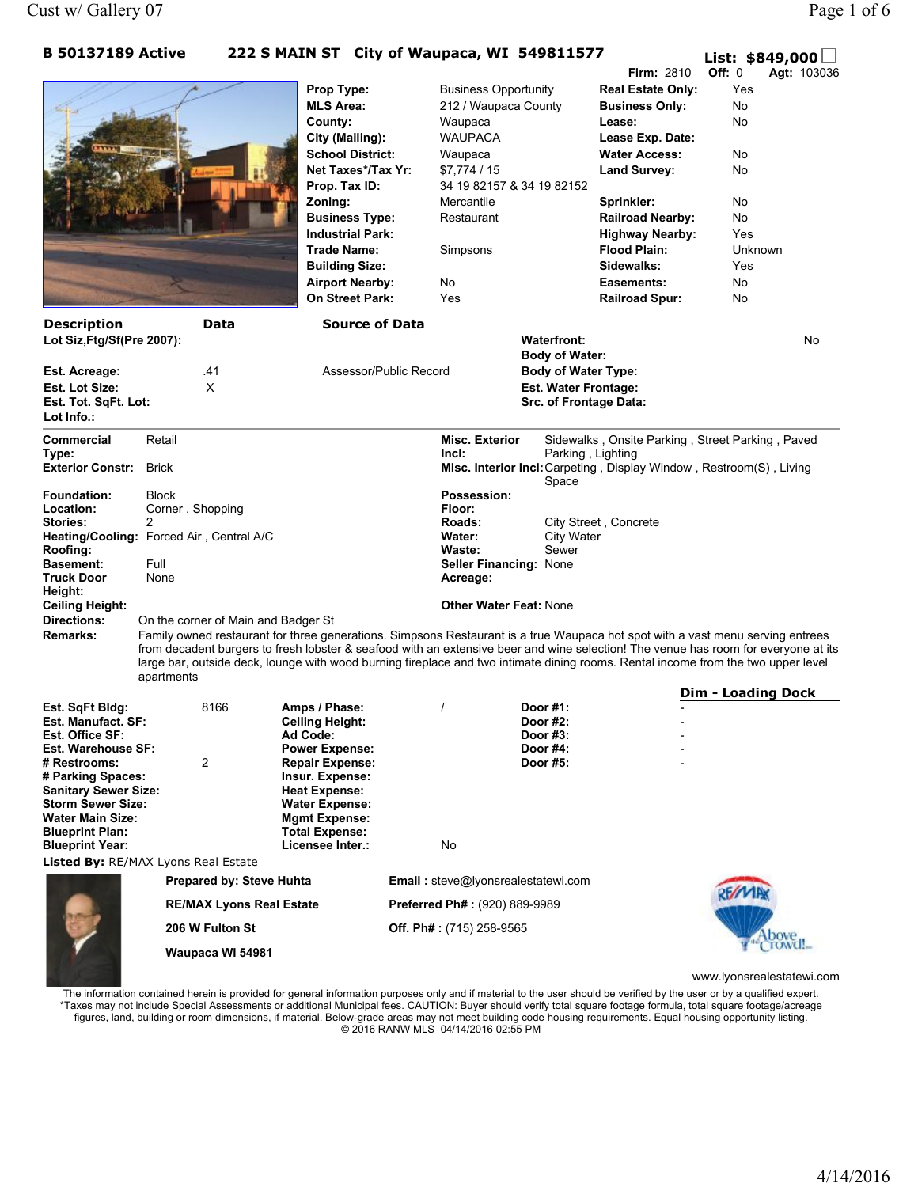## B 50137189 Active 222 S MAIN ST City of Waupaca, WI 549811577  $\Box$

|                                                  |                                     |                                                  | $\sim$ 3 PIATIN 31 City OF Waupaca, WI 349011377    |                                                           | <b>Firm: 2810</b>                                 | List: $$849,000 \square$<br>Off: 0                                                                                                                                                                                                                                                                                                                                                                                                     |
|--------------------------------------------------|-------------------------------------|--------------------------------------------------|-----------------------------------------------------|-----------------------------------------------------------|---------------------------------------------------|----------------------------------------------------------------------------------------------------------------------------------------------------------------------------------------------------------------------------------------------------------------------------------------------------------------------------------------------------------------------------------------------------------------------------------------|
|                                                  |                                     |                                                  |                                                     |                                                           |                                                   | <b>Agt: 103036</b><br>Yes                                                                                                                                                                                                                                                                                                                                                                                                              |
|                                                  |                                     | Prop Type:<br><b>MLS Area:</b>                   | <b>Business Opportunity</b><br>212 / Waupaca County |                                                           | <b>Real Estate Only:</b><br><b>Business Only:</b> | No                                                                                                                                                                                                                                                                                                                                                                                                                                     |
|                                                  |                                     |                                                  |                                                     |                                                           | Lease:                                            | No                                                                                                                                                                                                                                                                                                                                                                                                                                     |
|                                                  |                                     | County:<br>City (Mailing):                       | Waupaca<br><b>WAUPACA</b>                           |                                                           | Lease Exp. Date:                                  |                                                                                                                                                                                                                                                                                                                                                                                                                                        |
|                                                  |                                     | <b>School District:</b>                          |                                                     |                                                           |                                                   |                                                                                                                                                                                                                                                                                                                                                                                                                                        |
|                                                  |                                     | Net Taxes*/Tax Yr:                               | Waupaca<br>\$7,774/15                               |                                                           | <b>Water Access:</b>                              | No<br>No                                                                                                                                                                                                                                                                                                                                                                                                                               |
|                                                  |                                     |                                                  |                                                     | 34 19 82157 & 34 19 82152                                 | Land Survey:                                      |                                                                                                                                                                                                                                                                                                                                                                                                                                        |
|                                                  |                                     | Prop. Tax ID:<br>Zoning:                         | Mercantile                                          |                                                           |                                                   | No.                                                                                                                                                                                                                                                                                                                                                                                                                                    |
|                                                  |                                     |                                                  | Restaurant                                          |                                                           | Sprinkler:                                        | No                                                                                                                                                                                                                                                                                                                                                                                                                                     |
|                                                  |                                     | <b>Business Type:</b><br><b>Industrial Park:</b> |                                                     |                                                           | <b>Railroad Nearby:</b><br><b>Highway Nearby:</b> | Yes                                                                                                                                                                                                                                                                                                                                                                                                                                    |
|                                                  |                                     | Trade Name:                                      |                                                     |                                                           | <b>Flood Plain:</b>                               | Unknown                                                                                                                                                                                                                                                                                                                                                                                                                                |
|                                                  |                                     | <b>Building Size:</b>                            | Simpsons                                            |                                                           | Sidewalks:                                        | Yes                                                                                                                                                                                                                                                                                                                                                                                                                                    |
|                                                  |                                     |                                                  | No                                                  |                                                           | Easements:                                        | No.                                                                                                                                                                                                                                                                                                                                                                                                                                    |
|                                                  |                                     | <b>Airport Nearby:</b><br>On Street Park:        | Yes                                                 |                                                           | <b>Railroad Spur:</b>                             | No                                                                                                                                                                                                                                                                                                                                                                                                                                     |
|                                                  |                                     |                                                  |                                                     |                                                           |                                                   |                                                                                                                                                                                                                                                                                                                                                                                                                                        |
| <b>Description</b>                               | <b>Data</b>                         | <b>Source of Data</b>                            |                                                     |                                                           |                                                   |                                                                                                                                                                                                                                                                                                                                                                                                                                        |
| Lot Siz, Ftg/Sf(Pre 2007):                       |                                     |                                                  | <b>Waterfront:</b><br><b>Body of Water:</b>         |                                                           |                                                   | No                                                                                                                                                                                                                                                                                                                                                                                                                                     |
| Est. Acreage:                                    | .41                                 |                                                  | Assessor/Public Record                              |                                                           |                                                   |                                                                                                                                                                                                                                                                                                                                                                                                                                        |
| Est. Lot Size:                                   | X                                   |                                                  |                                                     | <b>Body of Water Type:</b><br><b>Est. Water Frontage:</b> |                                                   |                                                                                                                                                                                                                                                                                                                                                                                                                                        |
| Est. Tot. SqFt. Lot:                             |                                     |                                                  |                                                     | Src. of Frontage Data:                                    |                                                   |                                                                                                                                                                                                                                                                                                                                                                                                                                        |
| Lot Info.:                                       |                                     |                                                  |                                                     |                                                           |                                                   |                                                                                                                                                                                                                                                                                                                                                                                                                                        |
| Commercial                                       | Retail                              |                                                  | <b>Misc. Exterior</b>                               |                                                           |                                                   | Sidewalks, Onsite Parking, Street Parking, Paved                                                                                                                                                                                                                                                                                                                                                                                       |
| Type:                                            |                                     |                                                  | Incl:                                               | Parking, Lighting                                         |                                                   |                                                                                                                                                                                                                                                                                                                                                                                                                                        |
| <b>Exterior Constr:</b><br><b>Brick</b>          |                                     |                                                  |                                                     | Space                                                     |                                                   | Misc. Interior Incl: Carpeting, Display Window, Restroom(S), Living                                                                                                                                                                                                                                                                                                                                                                    |
| <b>Foundation:</b>                               | <b>Block</b>                        |                                                  | Possession:                                         |                                                           |                                                   |                                                                                                                                                                                                                                                                                                                                                                                                                                        |
| Location:                                        | Corner, Shopping                    |                                                  | Floor:                                              |                                                           |                                                   |                                                                                                                                                                                                                                                                                                                                                                                                                                        |
| Stories:<br>2                                    |                                     |                                                  | Roads:                                              |                                                           | City Street, Concrete                             |                                                                                                                                                                                                                                                                                                                                                                                                                                        |
| Heating/Cooling: Forced Air, Central A/C         |                                     |                                                  | <b>Water:</b>                                       | <b>City Water</b>                                         |                                                   |                                                                                                                                                                                                                                                                                                                                                                                                                                        |
| Roofing:<br><b>Full</b><br><b>Basement:</b>      |                                     |                                                  | <b>Waste:</b><br>Seller Financing: None             | Sewer                                                     |                                                   |                                                                                                                                                                                                                                                                                                                                                                                                                                        |
| <b>Truck Door</b>                                | None                                |                                                  | Acreage:                                            |                                                           |                                                   |                                                                                                                                                                                                                                                                                                                                                                                                                                        |
| Height:                                          |                                     |                                                  |                                                     |                                                           |                                                   |                                                                                                                                                                                                                                                                                                                                                                                                                                        |
| Ceiling Height:                                  |                                     |                                                  | <b>Other Water Feat: None</b>                       |                                                           |                                                   |                                                                                                                                                                                                                                                                                                                                                                                                                                        |
| <b>Directions:</b>                               | On the corner of Main and Badger St |                                                  |                                                     |                                                           |                                                   |                                                                                                                                                                                                                                                                                                                                                                                                                                        |
| Remarks:                                         | apartments                          |                                                  |                                                     |                                                           |                                                   | Family owned restaurant for three generations. Simpsons Restaurant is a true Waupaca hot spot with a vast menu serving entrees<br>from decadent burgers to fresh lobster & seafood with an extensive beer and wine selection! The venue has room for everyone at its<br>large bar, outside deck, lounge with wood burning fireplace and two intimate dining rooms. Rental income from the two upper level<br><b>Dim - Loading Dock</b> |
| Est. SqFt Bldg:                                  | 8166                                | Amps / Phase:                                    |                                                     | Door $#1$ :                                               |                                                   |                                                                                                                                                                                                                                                                                                                                                                                                                                        |
| <b>Est. Manufact. SF:</b>                        |                                     | <b>Ceiling Height:</b>                           |                                                     | Door #2:                                                  |                                                   |                                                                                                                                                                                                                                                                                                                                                                                                                                        |
| Est. Office SF:                                  |                                     | Ad Code:                                         |                                                     | Door #3:<br>Door #4:                                      |                                                   |                                                                                                                                                                                                                                                                                                                                                                                                                                        |
| Est. Warehouse SF:<br># Restrooms:               | 2                                   | <b>Power Expense:</b><br><b>Repair Expense:</b>  |                                                     | Door #5:                                                  |                                                   |                                                                                                                                                                                                                                                                                                                                                                                                                                        |
| # Parking Spaces:                                |                                     | Insur. Expense:                                  |                                                     |                                                           |                                                   |                                                                                                                                                                                                                                                                                                                                                                                                                                        |
| <b>Sanitary Sewer Size:</b>                      |                                     | <b>Heat Expense:</b>                             |                                                     |                                                           |                                                   |                                                                                                                                                                                                                                                                                                                                                                                                                                        |
| Storm Sewer Size:                                |                                     | <b>Water Expense:</b>                            |                                                     |                                                           |                                                   |                                                                                                                                                                                                                                                                                                                                                                                                                                        |
| Water Main Size:                                 |                                     | <b>Mgmt Expense:</b>                             |                                                     |                                                           |                                                   |                                                                                                                                                                                                                                                                                                                                                                                                                                        |
| <b>Blueprint Plan:</b><br><b>Blueprint Year:</b> |                                     | <b>Total Expense:</b><br>Licensee Inter.:        | No                                                  |                                                           |                                                   |                                                                                                                                                                                                                                                                                                                                                                                                                                        |
| <b>Listed By:</b> RE/MAX Lyons Real Estate       |                                     |                                                  |                                                     |                                                           |                                                   |                                                                                                                                                                                                                                                                                                                                                                                                                                        |
|                                                  | <b>Prepared by: Steve Huhta</b>     |                                                  | Email: steve@lyonsrealestatewi.com                  |                                                           |                                                   |                                                                                                                                                                                                                                                                                                                                                                                                                                        |
|                                                  | <b>RE/MAX Lyons Real Estate</b>     |                                                  | <b>Preferred Ph#: (920) 889-9989</b>                |                                                           |                                                   |                                                                                                                                                                                                                                                                                                                                                                                                                                        |
|                                                  | 206 W Fulton St                     |                                                  | Off. Ph# : $(715)$ 258-9565                         |                                                           |                                                   |                                                                                                                                                                                                                                                                                                                                                                                                                                        |
|                                                  | Waupaca WI 54981                    |                                                  |                                                     |                                                           |                                                   |                                                                                                                                                                                                                                                                                                                                                                                                                                        |

www.lyonsrealestatewi.com

The information contained herein is provided for general information purposes only and if material to the user should be verified by the user or by a qualified expert. \*Taxes may not include Special Assessments or additional Municipal fees. CAUTION: Buyer should verify total square footage formula, total square footage/acreage figures, land, building or room dimensions, if material. Below-grade areas may not meet building code housing requirements. Equal housing opportunity listing. © 2016 RANW MLS 04/14/2016 02:55 PM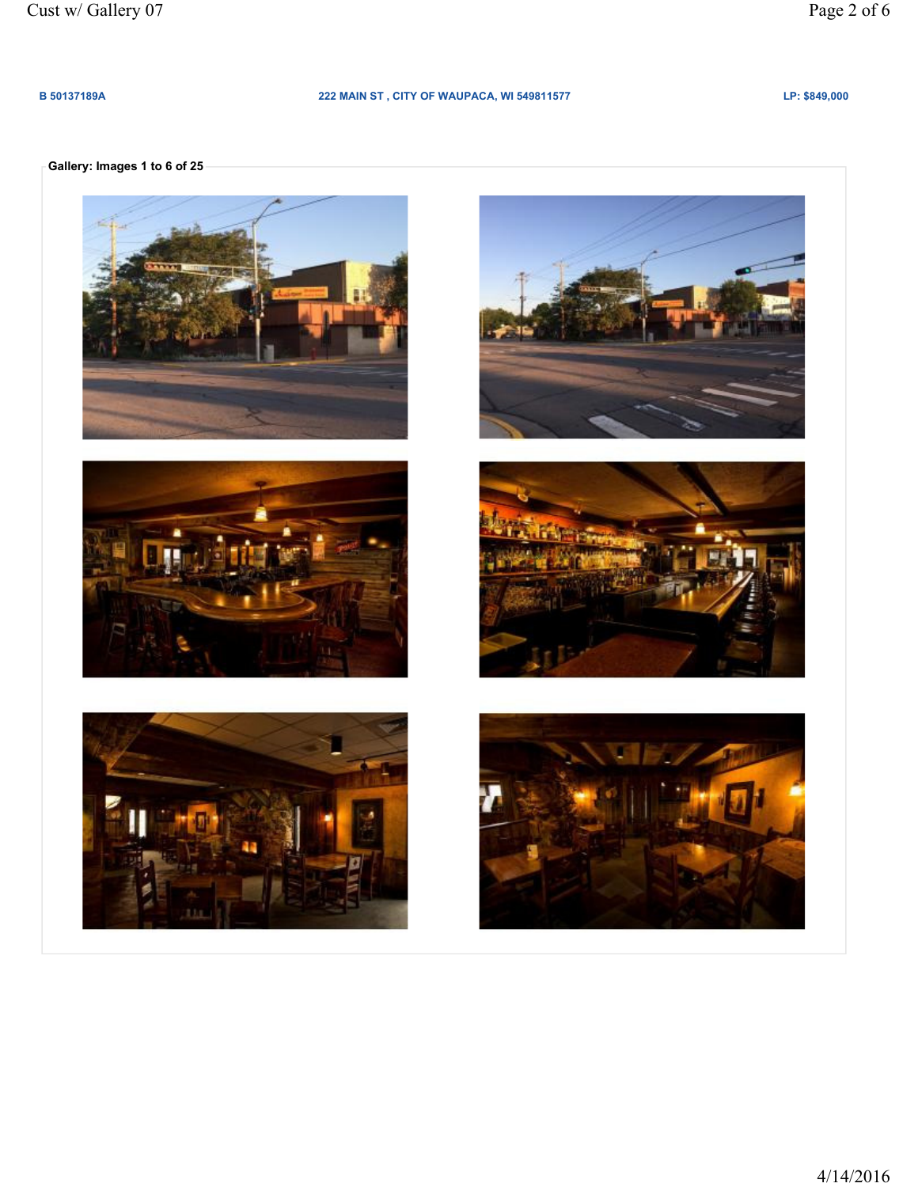### B 50137189A 222 MAIN ST, CITY OF WAUPACA, WI 549811577 LP: \$849,000

# Gallery: Images 1 to 6 of 25











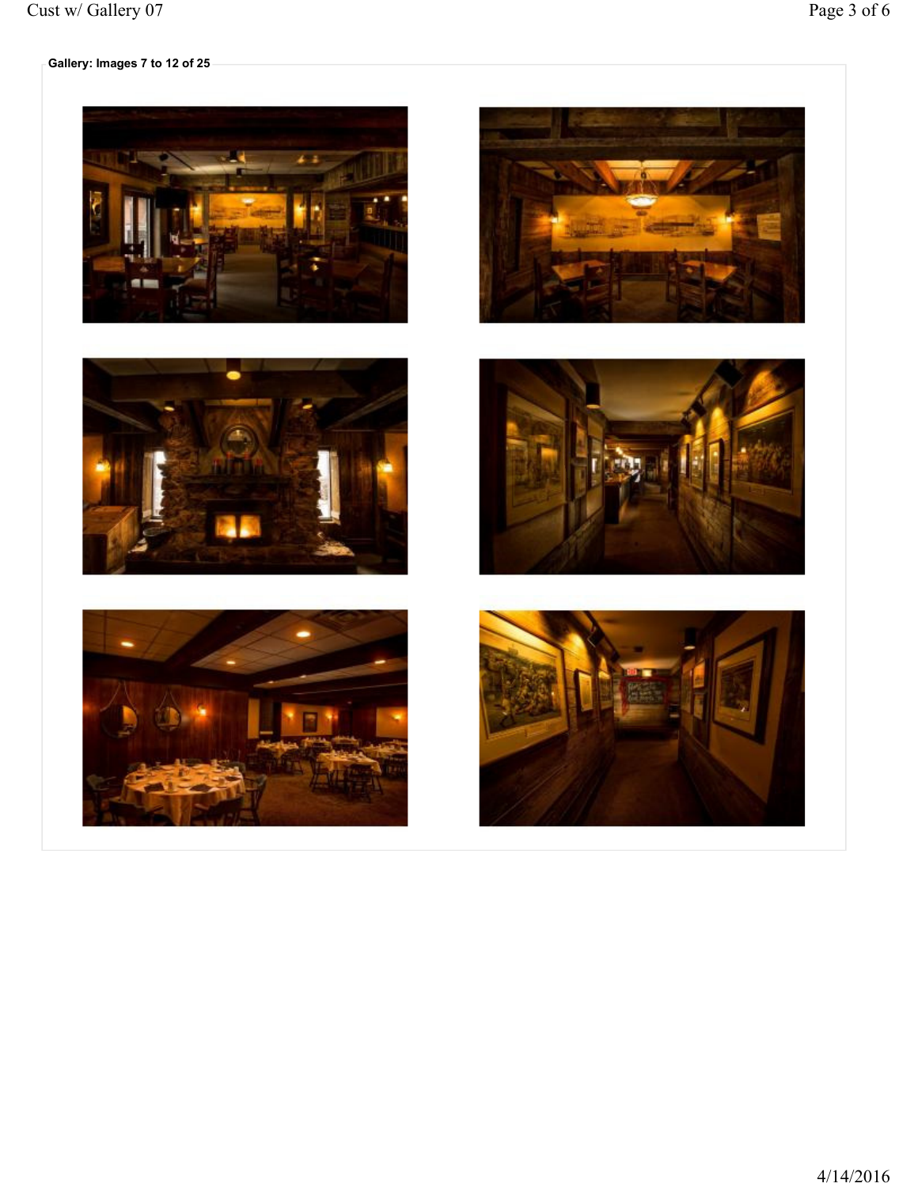











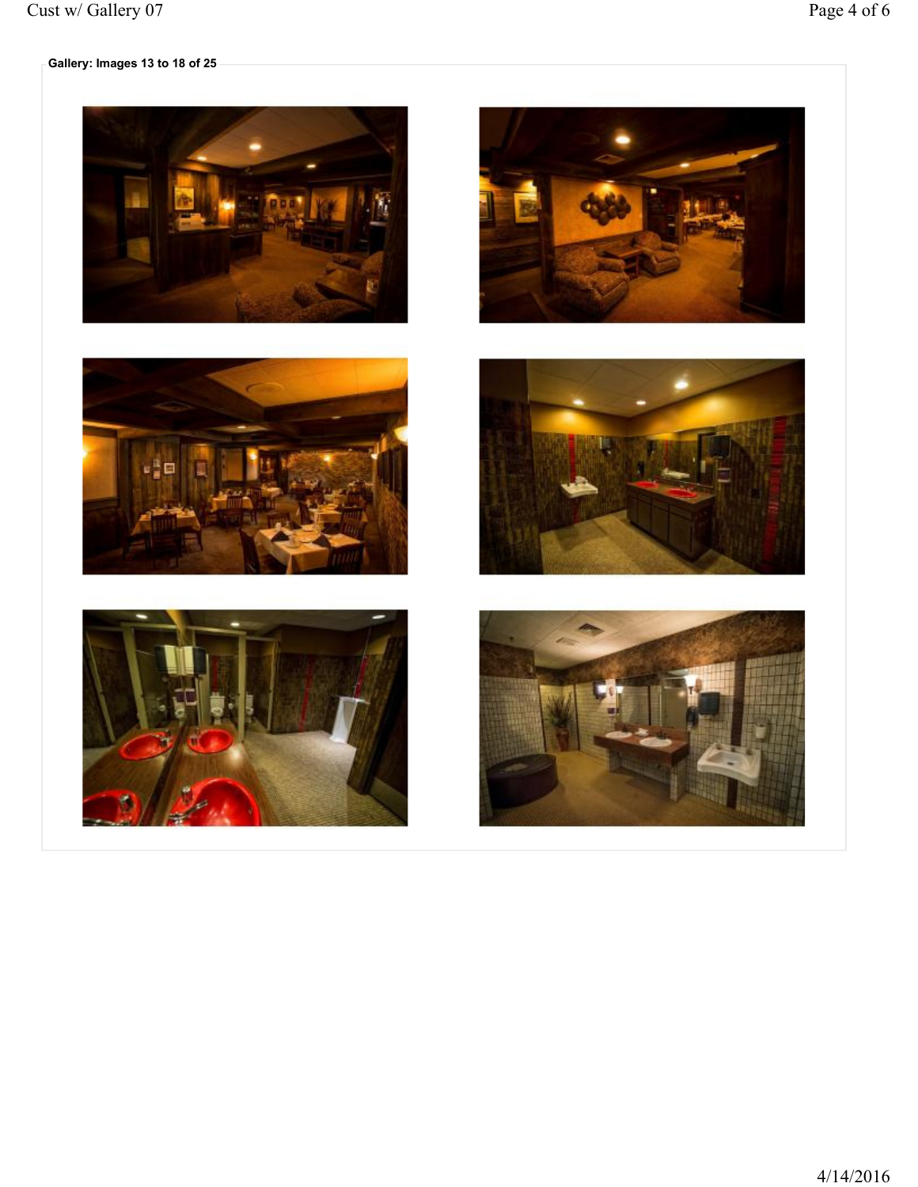# $\overline{\phantom{a}}$  Gallery: Images 13 to 18 of 25  $\overline{\phantom{a}}$











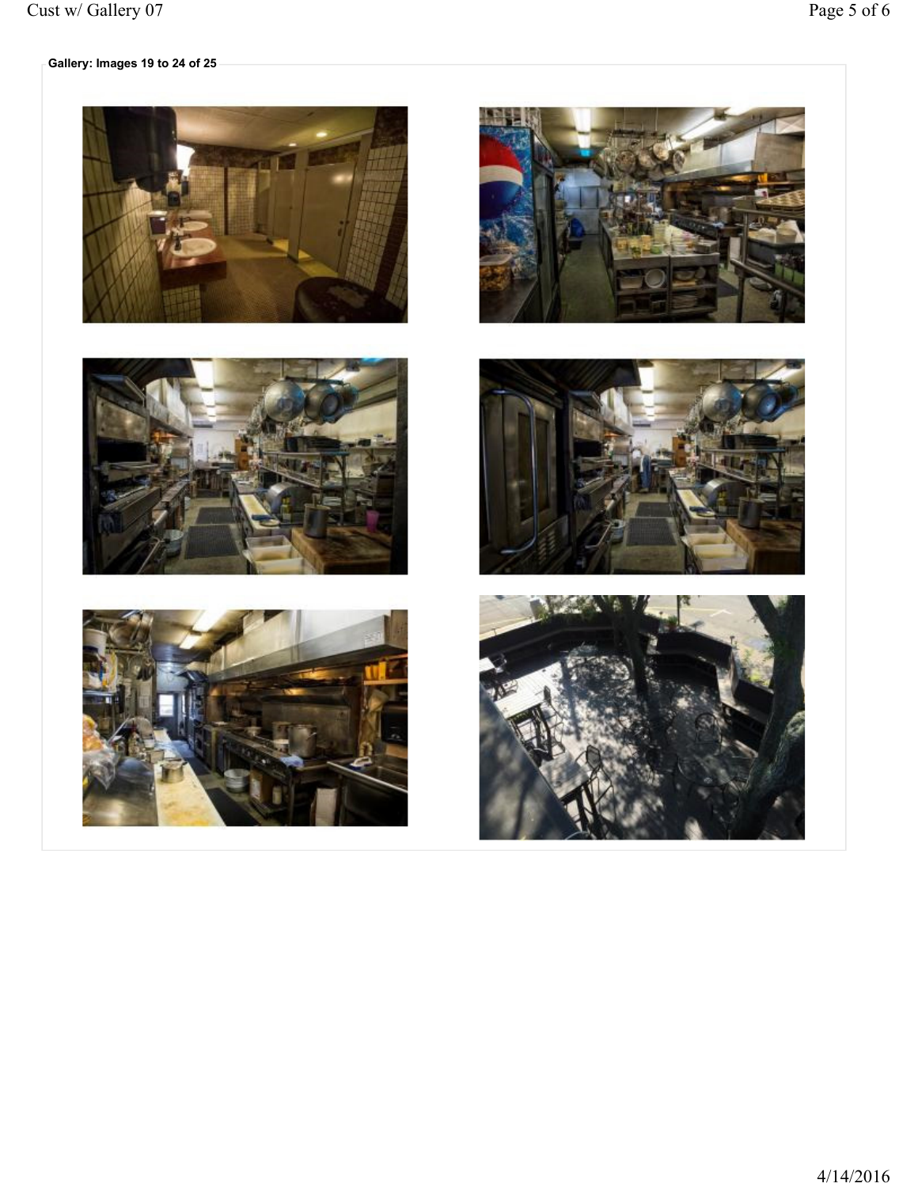